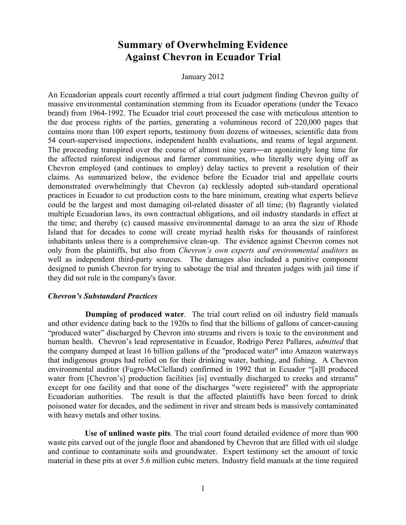# **Summary of Overwhelming Evidence Against Chevron in Ecuador Trial**

January 2012

An Ecuadorian appeals court recently affirmed a trial court judgment finding Chevron guilty of massive environmental contamination stemming from its Ecuador operations (under the Texaco brand) from 1964-1992. The Ecuador trial court processed the case with meticulous attention to the due process rights of the parties, generating a voluminous record of 220,000 pages that contains more than 100 expert reports, testimony from dozens of witnesses, scientific data from 54 court-supervised inspections, independent health evaluations, and reams of legal argument. The proceeding transpired over the course of almost nine years―an agonizingly long time for the affected rainforest indigenous and farmer communities, who literally were dying off as Chevron employed (and continues to employ) delay tactics to prevent a resolution of their claims. As summarized below, the evidence before the Ecuador trial and appellate courts demonstrated overwhelmingly that Chevron (a) recklessly adopted sub-standard operational practices in Ecuador to cut production costs to the bare minimum, creating what experts believe could be the largest and most damaging oil-related disaster of all time; (b) flagrantly violated multiple Ecuadorian laws, its own contractual obligations, and oil industry standards in effect at the time; and thereby (c) caused massive environmental damage to an area the size of Rhode Island that for decades to come will create myriad health risks for thousands of rainforest inhabitants unless there is a comprehensive clean-up. The evidence against Chevron comes not only from the plaintiffs, but also from *Chevron's own experts and environmental auditors* as well as independent third-party sources. The damages also included a punitive component designed to punish Chevron for trying to sabotage the trial and threaten judges with jail time if they did not rule in the company's favor.

### *Chevron's Substandard Practices*

**Dumping of produced water***.* The trial court relied on oil industry field manuals and other evidence dating back to the 1920s to find that the billions of gallons of cancer-causing "produced water" discharged by Chevron into streams and rivers is toxic to the environment and human health. Chevron's lead representative in Ecuador, Rodrigo Perez Pallares, *admitted* that the company dumped at least 16 billion gallons of the "produced water" into Amazon waterways that indigenous groups had relied on for their drinking water, bathing, and fishing. A Chevron environmental auditor (Fugro-McClelland) confirmed in 1992 that in Ecuador "[a]ll produced water from [Chevron's] production facilities [is] eventually discharged to creeks and streams" except for one facility and that none of the discharges "were registered" with the appropriate Ecuadorian authorities. The result is that the affected plaintiffs have been forced to drink poisoned water for decades, and the sediment in river and stream beds is massively contaminated with heavy metals and other toxins.

**Use of unlined waste pits***.* The trial court found detailed evidence of more than 900 waste pits carved out of the jungle floor and abandoned by Chevron that are filled with oil sludge and continue to contaminate soils and groundwater. Expert testimony set the amount of toxic material in these pits at over 5.6 million cubic meters. Industry field manuals at the time required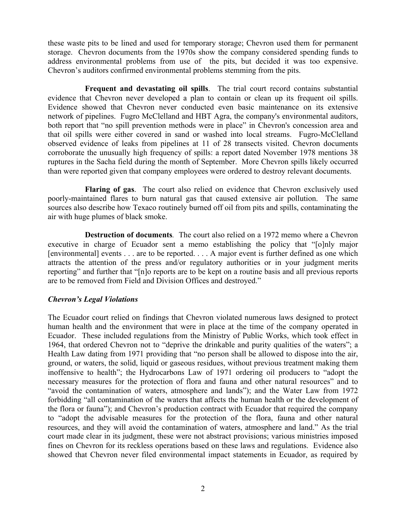these waste pits to be lined and used for temporary storage; Chevron used them for permanent storage. Chevron documents from the 1970s show the company considered spending funds to address environmental problems from use of the pits, but decided it was too expensive. Chevron's auditors confirmed environmental problems stemming from the pits.

**Frequent and devastating oil spills**. The trial court record contains substantial evidence that Chevron never developed a plan to contain or clean up its frequent oil spills. Evidence showed that Chevron never conducted even basic maintenance on its extensive network of pipelines. Fugro McClelland and HBT Agra, the company's environmental auditors, both report that "no spill prevention methods were in place" in Chevron's concession area and that oil spills were either covered in sand or washed into local streams. Fugro-McClelland observed evidence of leaks from pipelines at 11 of 28 transects visited. Chevron documents corroborate the unusually high frequency of spills: a report dated November 1978 mentions 38 ruptures in the Sacha field during the month of September. More Chevron spills likely occurred than were reported given that company employees were ordered to destroy relevant documents.

**Flaring of gas**. The court also relied on evidence that Chevron exclusively used poorly-maintained flares to burn natural gas that caused extensive air pollution. The same sources also describe how Texaco routinely burned off oil from pits and spills, contaminating the air with huge plumes of black smoke.

**Destruction of documents***.* The court also relied on a 1972 memo where a Chevron executive in charge of Ecuador sent a memo establishing the policy that "[o]nly major [environmental] events . . . are to be reported. . . . A major event is further defined as one which attracts the attention of the press and/or regulatory authorities or in your judgment merits reporting" and further that "[n]o reports are to be kept on a routine basis and all previous reports are to be removed from Field and Division Offices and destroyed."

## *Chevron's Legal Violations*

The Ecuador court relied on findings that Chevron violated numerous laws designed to protect human health and the environment that were in place at the time of the company operated in Ecuador. These included regulations from the Ministry of Public Works, which took effect in 1964, that ordered Chevron not to "deprive the drinkable and purity qualities of the waters"; a Health Law dating from 1971 providing that "no person shall be allowed to dispose into the air, ground, or waters, the solid, liquid or gaseous residues, without previous treatment making them inoffensive to health"; the Hydrocarbons Law of 1971 ordering oil producers to "adopt the necessary measures for the protection of flora and fauna and other natural resources" and to "avoid the contamination of waters, atmosphere and lands"); and the Water Law from 1972 forbidding "all contamination of the waters that affects the human health or the development of the flora or fauna"); and Chevron's production contract with Ecuador that required the company to "adopt the advisable measures for the protection of the flora, fauna and other natural resources, and they will avoid the contamination of waters, atmosphere and land." As the trial court made clear in its judgment, these were not abstract provisions; various ministries imposed fines on Chevron for its reckless operations based on these laws and regulations. Evidence also showed that Chevron never filed environmental impact statements in Ecuador, as required by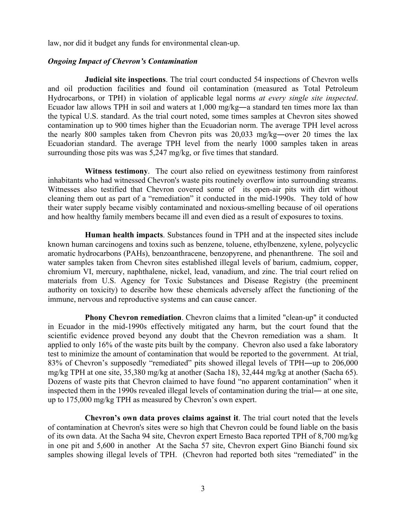law, nor did it budget any funds for environmental clean-up.

#### *Ongoing Impact of Chevron's Contamination*

**Judicial site inspections**. The trial court conducted 54 inspections of Chevron wells and oil production facilities and found oil contamination (measured as Total Petroleum Hydrocarbons, or TPH) in violation of applicable legal norms *at every single site inspected*. Ecuador law allows TPH in soil and waters at 1,000 mg/kg―a standard ten times more lax than the typical U.S. standard. As the trial court noted, some times samples at Chevron sites showed contamination up to 900 times higher than the Ecuadorian norm. The average TPH level across the nearly 800 samples taken from Chevron pits was 20,033 mg/kg―over 20 times the lax Ecuadorian standard. The average TPH level from the nearly 1000 samples taken in areas surrounding those pits was was 5,247 mg/kg, or five times that standard.

**Witness testimony**. The court also relied on eyewitness testimony from rainforest inhabitants who had witnessed Chevron's waste pits routinely overflow into surrounding streams. Witnesses also testified that Chevron covered some of its open-air pits with dirt without cleaning them out as part of a "remediation" it conducted in the mid-1990s. They told of how their water supply became visibly contaminated and noxious-smelling because of oil operations and how healthy family members became ill and even died as a result of exposures to toxins.

**Human health impacts**. Substances found in TPH and at the inspected sites include known human carcinogens and toxins such as benzene, toluene, ethylbenzene, xylene, polycyclic aromatic hydrocarbons (PAHs), benzoanthracene, benzopyrene, and phenanthrene. The soil and water samples taken from Chevron sites established illegal levels of barium, cadmium, copper, chromium VI, mercury, naphthalene, nickel, lead, vanadium, and zinc. The trial court relied on materials from U.S. Agency for Toxic Substances and Disease Registry (the preeminent authority on toxicity) to describe how these chemicals adversely affect the functioning of the immune, nervous and reproductive systems and can cause cancer.

**Phony Chevron remediation**. Chevron claims that a limited "clean-up" it conducted in Ecuador in the mid-1990s effectively mitigated any harm, but the court found that the scientific evidence proved beyond any doubt that the Chevron remediation was a sham. It applied to only 16% of the waste pits built by the company. Chevron also used a fake laboratory test to minimize the amount of contamination that would be reported to the government. At trial, 83% of Chevron's supposedly "remediated" pits showed illegal levels of TPH―up to 206,000 mg/kg TPH at one site, 35,380 mg/kg at another (Sacha 18), 32,444 mg/kg at another (Sacha 65). Dozens of waste pits that Chevron claimed to have found "no apparent contamination" when it inspected them in the 1990s revealed illegal levels of contamination during the trial― at one site, up to 175,000 mg/kg TPH as measured by Chevron's own expert.

**Chevron's own data proves claims against it**. The trial court noted that the levels of contamination at Chevron's sites were so high that Chevron could be found liable on the basis of its own data. At the Sacha 94 site, Chevron expert Ernesto Baca reported TPH of 8,700 mg/kg in one pit and 5,600 in another At the Sacha 57 site, Chevron expert Gino Bianchi found six samples showing illegal levels of TPH. (Chevron had reported both sites "remediated" in the